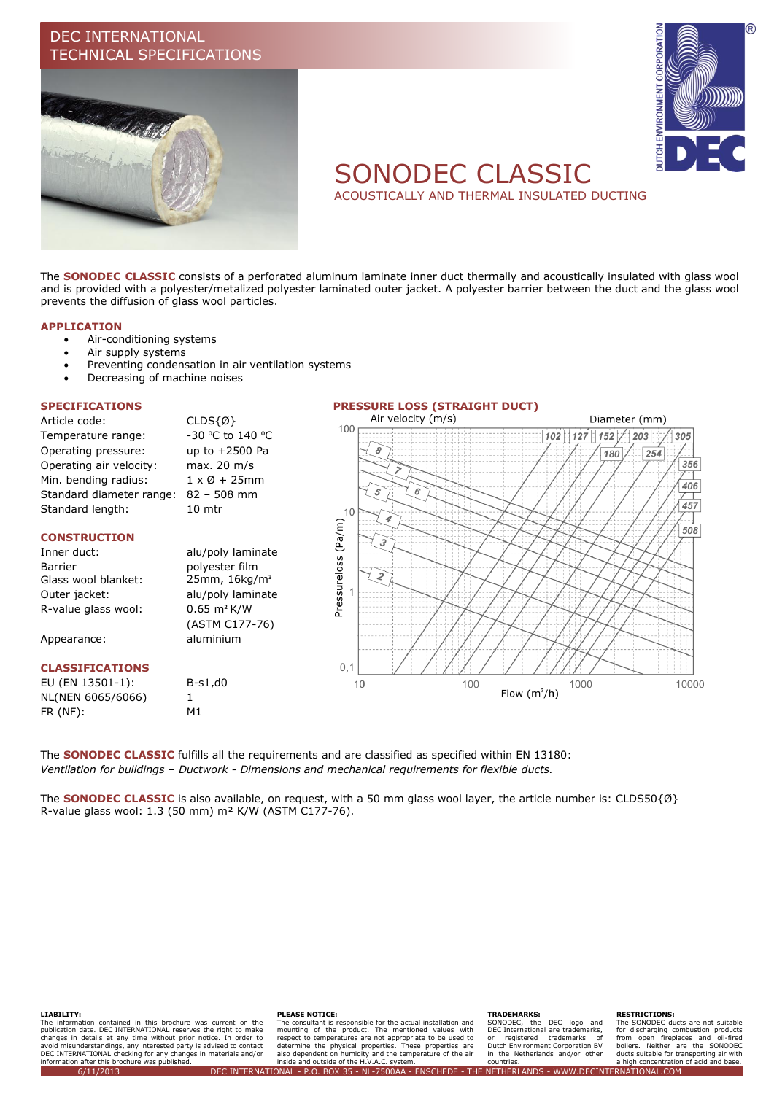# DEC INTERNATIONAL TECHNICAL SPECIFICATIONS





# SONODEC CLASSIC

ACOUSTICALLY AND THERMAL INSULATED DUCTING

The **SONODEC CLASSIC** consists of a perforated aluminum laminate inner duct thermally and acoustically insulated with glass wool and is provided with a polyester/metalized polyester laminated outer jacket. A polyester barrier between the duct and the glass wool prevents the diffusion of glass wool particles.

#### **APPLICATION**

- Air-conditioning systems
- Air supply systems
- Preventing condensation in air ventilation systems
- Decreasing of machine noises

Article code: CLDS{Ø} Temperature range: -30 °C to 140 °C Operating pressure: up to +2500 Pa Operating air velocity: max. 20 m/s Min. bending radius:  $1 \times \emptyset + 25$ mm Standard diameter range: 82 – 508 mm Standard length: 10 mtr

### **CONSTRUCTION**

## Inner duct: alu/poly laminate Barrier **polyester** film Glass wool blanket: 25mm, 16kg/m<sup>3</sup> Outer jacket: alu/poly laminate R-value glass wool: 0.65 m² K/W

Appearance: aluminium

### **CLASSIFICATIONS**

EU (EN 13501-1): B-s1,d0 NL(NEN 6065/6066) 1 FR (NF): M1

(ASTM C177-76)



The **SONODEC CLASSIC** fulfills all the requirements and are classified as specified within EN 13180: *Ventilation for buildings – Ductwork - Dimensions and mechanical requirements for flexible ducts.*

The **SONODEC CLASSIC** is also available, on request, with a 50 mm glass wool layer, the article number is: CLDS50{Ø} R-value glass wool: 1.3 (50 mm) m² K/W (ASTM C177-76).

#### **LIABILITY:**

The information contained in this brochure was current on the publication date. DEC INTERNATIONAL reserves the right to make<br>changes in details at any time without prior notice. In order to<br>avoid misunderstandings, any interested party is advised to contact<br>DEC INTERNATIONAL checking information after this brochure was published.

#### **PLEASE NOTICE:**

The consultant is responsible for the actual installation and mounting of the product. The mentioned values with<br>respect to temperatures are not appropriate to be used to<br>determine the physical properties. These properties are<br>also dependent on humidity and the temperature of the air inside and outside of the H.V.A.C. system.

#### **TRADEMARKS:**

SONODEC, the DEC logo and DEC International are trademarks, or registered trademarks of Dutch Environment Corporation BV in the Netherlands and/or other countries.

#### **RESTRICTIONS:**

The SONODEC ducts are not suitable for discharging combustion products from open fireplaces and oil-fired boilers. Neither are the SONODEC ducts suitable for transporting air with a high concentration of acid and base. 6/11/2013 DEC INTERNATIONAL - P.O. BOX 35 - NL-7500AA - ENSCHEDE - THE NETHERLANDS - WWW.DECINTERNATIONAL.COM